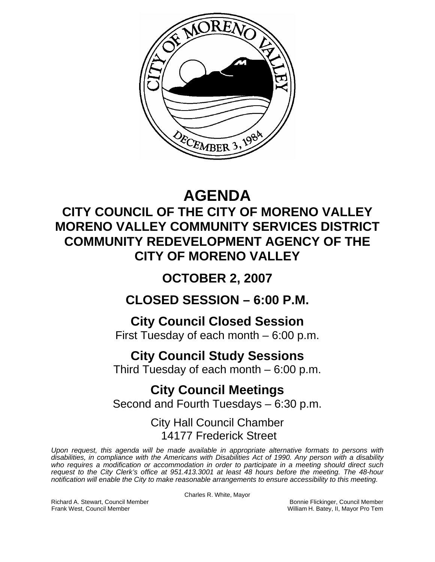

# **AGENDA**

### **CITY COUNCIL OF THE CITY OF MORENO VALLEY MORENO VALLEY COMMUNITY SERVICES DISTRICT COMMUNITY REDEVELOPMENT AGENCY OF THE CITY OF MORENO VALLEY**

## **OCTOBER 2, 2007**

### **CLOSED SESSION – 6:00 P.M.**

### **City Council Closed Session**

First Tuesday of each month – 6:00 p.m.

## **City Council Study Sessions**

Third Tuesday of each month – 6:00 p.m.

## **City Council Meetings**

Second and Fourth Tuesdays – 6:30 p.m.

### City Hall Council Chamber 14177 Frederick Street

*Upon request, this agenda will be made available in appropriate alternative formats to persons with disabilities, in compliance with the Americans with Disabilities Act of 1990. Any person with a disability who requires a modification or accommodation in order to participate in a meeting should direct such request to the City Clerk's office at 951.413.3001 at least 48 hours before the meeting. The 48-hour notification will enable the City to make reasonable arrangements to ensure accessibility to this meeting.* 

Charles R. White, Mayor

Richard A. Stewart, Council Member **Bonnie Flickinger, Council Member** Bonnie Flickinger, Council Member **Frank West, Council Member** Bonnie Flickinger, Council Member **Frank West, Council Member Bonnie Flickinger**, II, William H. Batey, II, Mayor Pro Tem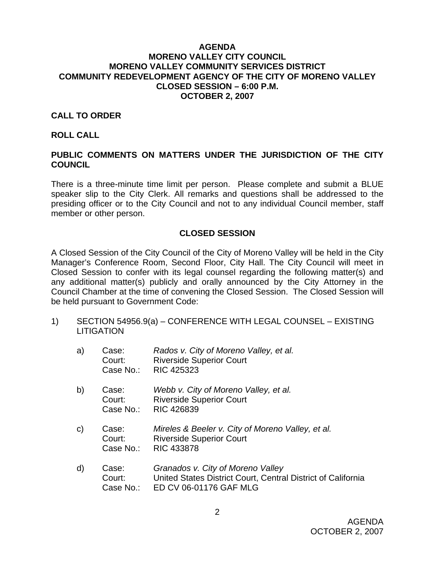#### **AGENDA MORENO VALLEY CITY COUNCIL MORENO VALLEY COMMUNITY SERVICES DISTRICT COMMUNITY REDEVELOPMENT AGENCY OF THE CITY OF MORENO VALLEY CLOSED SESSION – 6:00 P.M. OCTOBER 2, 2007**

#### **CALL TO ORDER**

#### **ROLL CALL**

#### **PUBLIC COMMENTS ON MATTERS UNDER THE JURISDICTION OF THE CITY COUNCIL**

There is a three-minute time limit per person. Please complete and submit a BLUE speaker slip to the City Clerk. All remarks and questions shall be addressed to the presiding officer or to the City Council and not to any individual Council member, staff member or other person.

#### **CLOSED SESSION**

A Closed Session of the City Council of the City of Moreno Valley will be held in the City Manager's Conference Room, Second Floor, City Hall. The City Council will meet in Closed Session to confer with its legal counsel regarding the following matter(s) and any additional matter(s) publicly and orally announced by the City Attorney in the Council Chamber at the time of convening the Closed Session. The Closed Session will be held pursuant to Government Code:

1) SECTION 54956.9(a) – CONFERENCE WITH LEGAL COUNSEL – EXISTING LITIGATION

| a) | Case:     | Rados v. City of Moreno Valley, et al. |
|----|-----------|----------------------------------------|
|    | Court:    | <b>Riverside Superior Court</b>        |
|    | Case No.: | RIC 425323                             |

- b) Case: *Webb v. City of Moreno Valley, et al.*  Court: Riverside Superior Court Case No.: RIC 426839
- c) Case: *Mireles & Beeler v. City of Moreno Valley, et al.*  Court: Riverside Superior Court Case No.: RIC 433878
- d) Case: *Granados v. City of Moreno Valley* Court: United States District Court, Central District of California Case No.: ED CV 06-01176 GAF MLG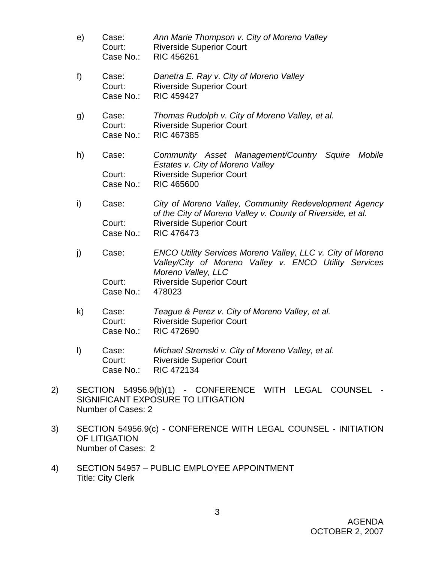- e) Case: *Ann Marie Thompson v. City of Moreno Valley* Court: Riverside Superior Court Case No.: RIC 456261 f) Case: *Danetra E. Ray v. City of Moreno Valley* Court: Riverside Superior Court Case No.: RIC 459427 g) Case: *Thomas Rudolph v. City of Moreno Valley, et al.*  Court: Riverside Superior Court Case No.: RIC 467385 h) Case: *Community Asset Management/Country Squire Mobile Estates v. City of Moreno Valley*  Court: Riverside Superior Court Case No.: RIC 465600 i) Case: *City of Moreno Valley, Community Redevelopment Agency of the City of Moreno Valley v. County of Riverside, et al.*  **Court:** Riverside Superior Court Case No.: RIC 476473 j) Case: *ENCO Utility Services Moreno Valley, LLC v. City of Moreno Valley/City of Moreno Valley v. ENCO Utility Services Moreno Valley, LLC*  **Court:** Riverside Superior Court Case No.: 478023 k) Case: *Teague & Perez v. City of Moreno Valley, et al.*  Court: Riverside Superior Court Case No.: RIC 472690
- l) Case: *Michael Stremski v. City of Moreno Valley, et al.*  Court: Riverside Superior Court Case No.: RIC 472134
- 2) SECTION 54956.9(b)(1) CONFERENCE WITH LEGAL COUNSEL SIGNIFICANT EXPOSURE TO LITIGATION Number of Cases: 2
- 3) SECTION 54956.9(c) CONFERENCE WITH LEGAL COUNSEL INITIATION OF LITIGATION Number of Cases: 2
- 4) SECTION 54957 PUBLIC EMPLOYEE APPOINTMENT Title: City Clerk